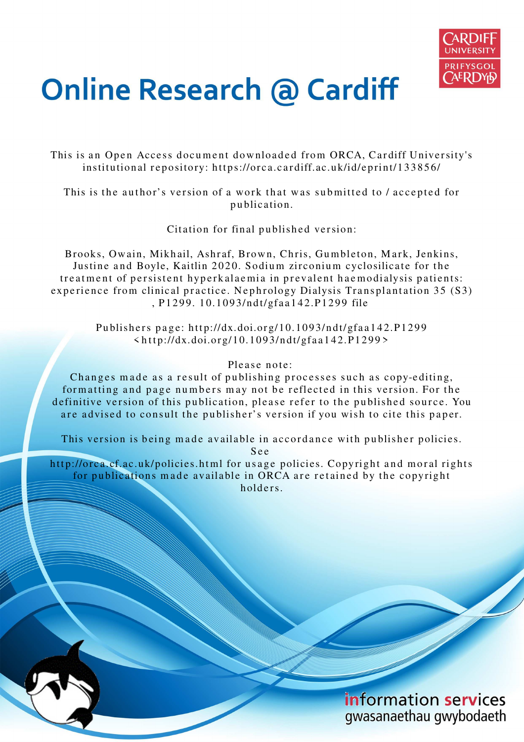

## **Online Research @ Cardiff**

This is an Open Access document downloaded from ORCA, Cardiff University's institutional repository: https://orca.cardiff.ac.uk/id/eprint/133856/

This is the author's version of a work that was submitted to / accepted for p u blication.

Citation for final published version:

Brooks, Owain, Mikhail, Ashraf, Brown, Chris, Gumbleton, Mark, Jenkins, Justine and Boyle, Kaitlin 2020. Sodium zirconium cyclosilicate for the treatment of persistent hyperkalaemia in prevalent haemodialysis patients: experience from clinical practice. Nephrology Dialysis Transplantation 35 (S3) , P 1 2 9 9. 1 0.1 09 3/nd t/gfa a 1 4 2.P 12 9 9 file

Publishers page: http://dx.doi.org/10.1093/ndt/gfaa142.P1299  $\frac{\text{th}}{\text{ttp}}$ ://dx.doi.org/10.1093/ndt/gfaa142.P1299>

## Please note:

Changes made as a result of publishing processes such as copy-editing, formatting and page numbers may not be reflected in this version. For the definitive version of this publication, please refer to the published source. You are advised to consult the publisher's version if you wish to cite this paper.

This version is being made available in accordance with publisher policies.

S e e

http://orca.cf.ac.uk/policies.html for usage policies. Copyright and moral rights for publications made available in ORCA are retained by the copyright holders.

> information services gwasanaethau gwybodaeth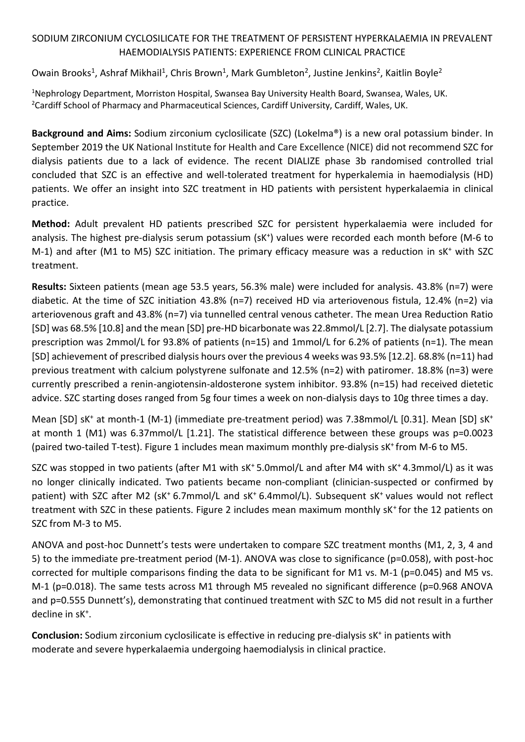## SODIUM ZIRCONIUM CYCLOSILICATE FOR THE TREATMENT OF PERSISTENT HYPERKALAEMIA IN PREVALENT HAEMODIALYSIS PATIENTS: EXPERIENCE FROM CLINICAL PRACTICE

Owain Brooks<sup>1</sup>, Ashraf Mikhail<sup>1</sup>, Chris Brown<sup>1</sup>, Mark Gumbleton<sup>2</sup>, Justine Jenkins<sup>2</sup>, Kaitlin Boyle<sup>2</sup>

<sup>1</sup>Nephrology Department, Morriston Hospital, Swansea Bay University Health Board, Swansea, Wales, UK. <sup>2</sup>Cardiff School of Pharmacy and Pharmaceutical Sciences, Cardiff University, Cardiff, Wales, UK.

**Background and Aims:** Sodium zirconium cyclosilicate (SZC) (Lokelma®) is a new oral potassium binder. In September 2019 the UK National Institute for Health and Care Excellence (NICE) did not recommend SZC for dialysis patients due to a lack of evidence. The recent DIALIZE phase 3b randomised controlled trial concluded that SZC is an effective and well-tolerated treatment for hyperkalemia in haemodialysis (HD) patients. We offer an insight into SZC treatment in HD patients with persistent hyperkalaemia in clinical practice.

**Method:** Adult prevalent HD patients prescribed SZC for persistent hyperkalaemia were included for analysis. The highest pre-dialysis serum potassium (sK<sup>+</sup>) values were recorded each month before (M-6 to M-1) and after (M1 to M5) SZC initiation. The primary efficacy measure was a reduction in sK<sup>+</sup> with SZC treatment.

**Results:** Sixteen patients (mean age 53.5 years, 56.3% male) were included for analysis. 43.8% (n=7) were diabetic. At the time of SZC initiation 43.8% (n=7) received HD via arteriovenous fistula, 12.4% (n=2) via arteriovenous graft and 43.8% (n=7) via tunnelled central venous catheter. The mean Urea Reduction Ratio [SD] was 68.5% [10.8] and the mean [SD] pre-HD bicarbonate was 22.8mmol/L [2.7]. The dialysate potassium prescription was 2mmol/L for 93.8% of patients (n=15) and 1mmol/L for 6.2% of patients (n=1). The mean [SD] achievement of prescribed dialysis hours over the previous 4 weeks was 93.5% [12.2]. 68.8% (n=11) had previous treatment with calcium polystyrene sulfonate and 12.5% (n=2) with patiromer. 18.8% (n=3) were currently prescribed a renin-angiotensin-aldosterone system inhibitor. 93.8% (n=15) had received dietetic advice. SZC starting doses ranged from 5g four times a week on non-dialysis days to 10g three times a day.

Mean [SD] sK<sup>+</sup> at month-1 (M-1) (immediate pre-treatment period) was 7.38mmol/L [0.31]. Mean [SD] sK<sup>+</sup> at month 1 (M1) was 6.37mmol/L [1.21]. The statistical difference between these groups was p=0.0023 (paired two-tailed T-test). Figure 1 includes mean maximum monthly pre-dialysis sK<sup>+</sup>from M-6 to M5.

SZC was stopped in two patients (after M1 with sK<sup>+</sup>5.0mmol/L and after M4 with sK<sup>+</sup>4.3mmol/L) as it was no longer clinically indicated. Two patients became non-compliant (clinician-suspected or confirmed by patient) with SZC after M2 (sK<sup>+</sup> 6.7mmol/L and sK<sup>+</sup> 6.4mmol/L). Subsequent sK<sup>+</sup> values would not reflect treatment with SZC in these patients. Figure 2 includes mean maximum monthly sK<sup>+</sup> for the 12 patients on SZC from M-3 to M5.

ANOVA and post-hoc Dunnett's tests were undertaken to compare SZC treatment months (M1, 2, 3, 4 and 5) to the immediate pre-treatment period (M-1). ANOVA was close to significance (p=0.058), with post-hoc corrected for multiple comparisons finding the data to be significant for M1 vs. M-1 (p=0.045) and M5 vs. M-1 (p=0.018). The same tests across M1 through M5 revealed no significant difference (p=0.968 ANOVA and p=0.555 Dunnett's), demonstrating that continued treatment with SZC to M5 did not result in a further decline in sK<sup>+</sup> .

Conclusion: Sodium zirconium cyclosilicate is effective in reducing pre-dialysis sK<sup>+</sup> in patients with moderate and severe hyperkalaemia undergoing haemodialysis in clinical practice.